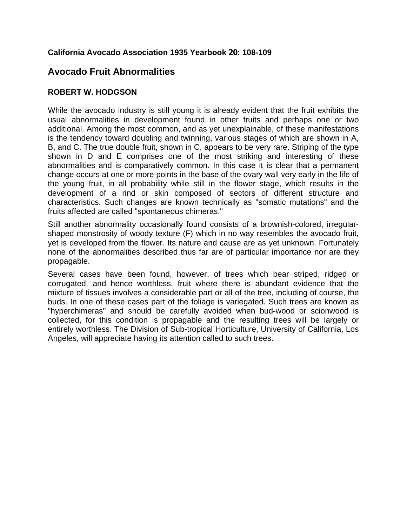## **California Avocado Association 1935 Yearbook 20: 108-109**

## **Avocado Fruit Abnormalities**

## **ROBERT W. HODGSON**

While the avocado industry is still young it is already evident that the fruit exhibits the usual abnormalities in development found in other fruits and perhaps one or two additional. Among the most common, and as yet unexplainable, of these manifestations is the tendency toward doubling and twinning, various stages of which are shown in A, B, and C. The true double fruit, shown in C, appears to be very rare. Striping of the type shown in D and E comprises one of the most striking and interesting of these abnormalities and is comparatively common. In this case it is clear that a permanent change occurs at one or more points in the base of the ovary wall very early in the life of the young fruit, in all probability while still in the flower stage, which results in the development of a rind or skin composed of sectors of different structure and characteristics. Such changes are known technically as "somatic mutations" and the fruits affected are called "spontaneous chimeras."

Still another abnormality occasionally found consists of a brownish-colored, irregularshaped monstrosity of woody texture (F) which in no way resembles the avocado fruit, yet is developed from the flower. Its nature and cause are as yet unknown. Fortunately none of the abnormalities described thus far are of particular importance nor are they propagable.

Several cases have been found, however, of trees which bear striped, ridged or corrugated, and hence worthless, fruit where there is abundant evidence that the mixture of tissues involves a considerable part or all of the tree, including of course, the buds. In one of these cases part of the foliage is variegated. Such trees are known as "hyperchimeras" and should be carefully avoided when bud-wood or scionwood is collected, for this condition is propagable and the resulting trees will be largely or entirely worthless. The Division of Sub-tropical Horticulture, University of California, Los Angeles, will appreciate having its attention called to such trees.